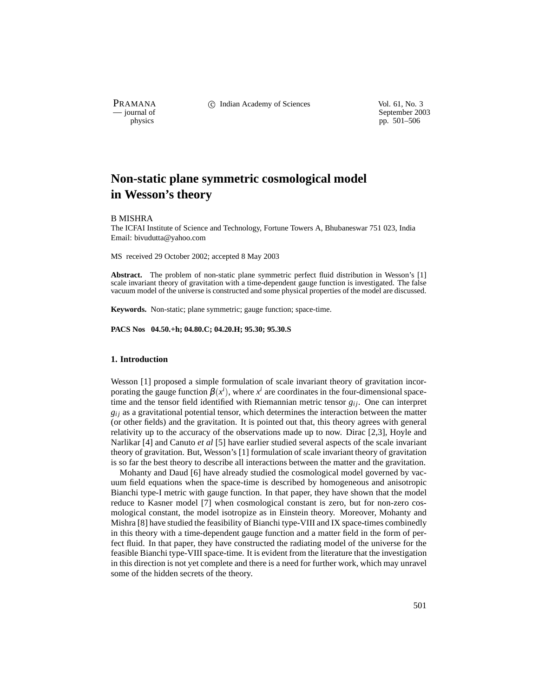PRAMANA C Indian Academy of Sciences Vol. 61, No. 3<br>
— journal of September 200

purnal of September 2003<br>
physics probability and the september 2003<br>
pp. 501–506 pp. 501–506

# **Non-static plane symmetric cosmological model in Wesson's theory**

#### B MISHRA

The ICFAI Institute of Science and Technology, Fortune Towers A, Bhubaneswar 751 023, India Email: bivudutta@yahoo.com

MS received 29 October 2002; accepted 8 May 2003

**Abstract.** The problem of non-static plane symmetric perfect fluid distribution in Wesson's [1] scale invariant theory of gravitation with a time-dependent gauge function is investigated. The false vacuum model of the universe is constructed and some physical properties of the model are discussed.

**Keywords.** Non-static; plane symmetric; gauge function; space-time.

**PACS Nos 04.50.+h; 04.80.C; 04.20.H; 95.30; 95.30.S**

### **1. Introduction**

Wesson [1] proposed a simple formulation of scale invariant theory of gravitation incorporating the gauge function  $\beta(x^i)$ , where  $x^i$  are coordinates in the four-dimensional spacetime and the tensor field identified with Riemannian metric tensor  $g_{ij}$ . One can interpret  $g_{ij}$  as a gravitational potential tensor, which determines the interaction between the matter (or other fields) and the gravitation. It is pointed out that, this theory agrees with general relativity up to the accuracy of the observations made up to now. Dirac [2,3], Hoyle and Narlikar [4] and Canuto *et al* [5] have earlier studied several aspects of the scale invariant theory of gravitation. But, Wesson's [1] formulation of scale invariant theory of gravitation is so far the best theory to describe all interactions between the matter and the gravitation.

Mohanty and Daud [6] have already studied the cosmological model governed by vacuum field equations when the space-time is described by homogeneous and anisotropic Bianchi type-I metric with gauge function. In that paper, they have shown that the model reduce to Kasner model [7] when cosmological constant is zero, but for non-zero cosmological constant, the model isotropize as in Einstein theory. Moreover, Mohanty and Mishra [8] have studied the feasibility of Bianchi type-VIII and IX space-times combinedly in this theory with a time-dependent gauge function and a matter field in the form of perfect fluid. In that paper, they have constructed the radiating model of the universe for the feasible Bianchi type-VIII space-time. It is evident from the literature that the investigation in this direction is not yet complete and there is a need for further work, which may unravel some of the hidden secrets of the theory.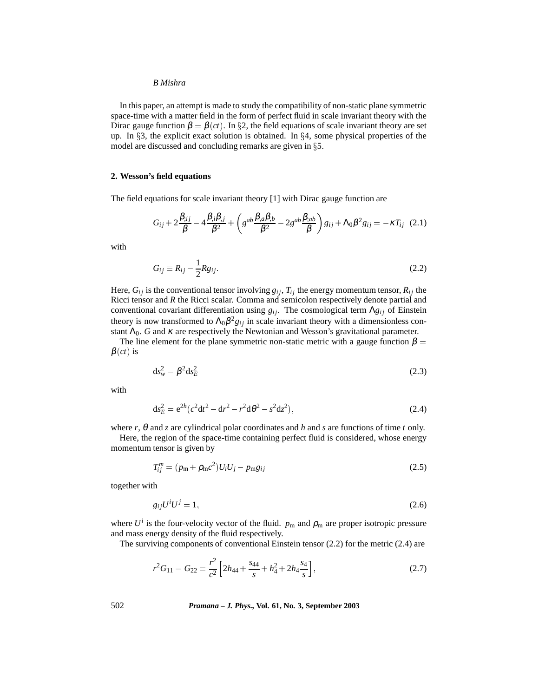#### *B Mishra*

In this paper, an attempt is made to study the compatibility of non-static plane symmetric space-time with a matter field in the form of perfect fluid in scale invariant theory with the Dirac gauge function  $\beta = \beta(ct)$ . In §2, the field equations of scale invariant theory are set up. In  $\S$ 3, the explicit exact solution is obtained. In  $\S$ 4, some physical properties of the model are discussed and concluding remarks are given in  $\S$ 5.

#### **2. Wesson's field equations**

The field equations for scale invariant theory [1] with Dirac gauge function are

$$
G_{ij} + 2\frac{\beta_{ij}}{\beta} - 4\frac{\beta_{i}\beta_{,j}}{\beta^{2}} + \left(g^{ab}\frac{\beta_{,a}\beta_{,b}}{\beta^{2}} - 2g^{ab}\frac{\beta_{,ab}}{\beta}\right)g_{ij} + \Lambda_{0}\beta^{2}g_{ij} = -\kappa T_{ij}
$$
 (2.1)

with

$$
G_{ij} \equiv R_{ij} - \frac{1}{2} R g_{ij}.
$$
\n(2.2)

Here,  $G_{ij}$  is the conventional tensor involving  $g_{ij}$ ,  $T_{ij}$  the energy momentum tensor,  $R_{ij}$  the Ricci tensor and *R* the Ricci scalar. Comma and semicolon respectively denote partial and conventional covariant differentiation using *g<sub>ij</sub>*. The cosmological term Λ*g<sub>ij</sub>* of Einstein theory is now transformed to  $\Lambda_0 \beta^2 g_{ij}$  in scale invariant theory with a dimensionless constant  $\Lambda_0$ . *G* and  $\kappa$  are respectively the Newtonian and Wesson's gravitational parameter.

The line element for the plane symmetric non-static metric with a gauge function  $\beta =$  $\beta(ct)$  is

$$
\mathrm{d}s_w^2 = \beta^2 \mathrm{d}s_E^2 \tag{2.3}
$$

with

$$
ds_E^2 = e^{2h} (c^2 dt^2 - dr^2 - r^2 d\theta^2 - s^2 dz^2),
$$
\n(2.4)

where *r*, θ and *z* are cylindrical polar coordinates and *h* and *s* are functions of time *t* only.

Here, the region of the space-time containing perfect fluid is considered, whose energy momentum tensor is given by

$$
T_{ij}^{m} = (p_{\rm m} + \rho_{\rm m}c^2)U_iU_j - p_{\rm m}g_{ij}
$$
 (2.5)

together with

$$
g_{ij}U^iU^j = 1,\tag{2.6}
$$

where  $U^i$  is the four-velocity vector of the fluid.  $p_m$  and  $p_m$  are proper isotropic pressure and mass energy density of the fluid respectively.

The surviving components of conventional Einstein tensor (2.2) for the metric (2.4) are

$$
r^{2}G_{11} = G_{22} \equiv \frac{r^{2}}{c^{2}} \left[ 2h_{44} + \frac{s_{44}}{s} + h_{4}^{2} + 2h_{4} \frac{s_{4}}{s} \right],
$$
 (2.7)

502 *Pramana – J. Phys.,* **Vol. 61, No. 3, September 2003**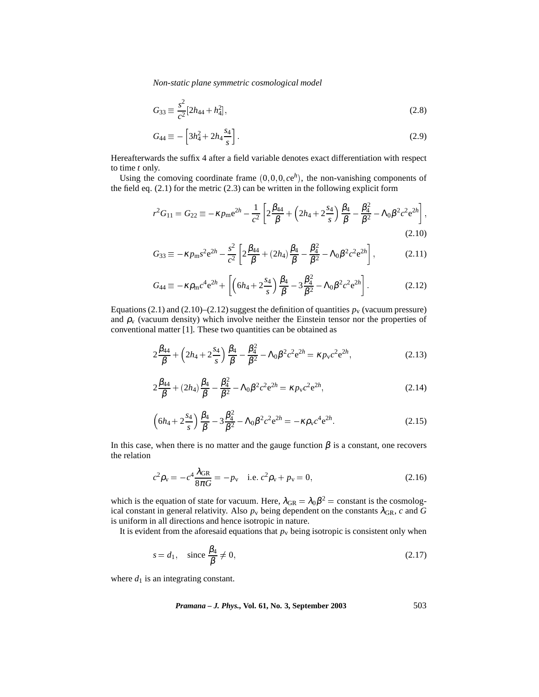*Non-static plane symmetric cosmological model*

$$
G_{33} \equiv \frac{s^2}{c^2} [2h_{44} + h_4^2],\tag{2.8}
$$

$$
G_{44} \equiv -\left[3h_4^2 + 2h_4 \frac{s_4}{s}\right].\tag{2.9}
$$

Hereafterwards the suffix 4 after a field variable denotes exact differentiation with respect to time *t* only.

Using the comoving coordinate frame  $(0,0,0,ce<sup>h</sup>)$ , the non-vanishing components of the field eq. (2.1) for the metric (2.3) can be written in the following explicit form

$$
r^2 G_{11} = G_{22} \equiv -\kappa p_{\rm m} e^{2h} - \frac{1}{c^2} \left[ 2\frac{\beta_{44}}{\beta} + \left(2h_4 + 2\frac{s_4}{s}\right) \frac{\beta_4}{\beta} - \frac{\beta_4^2}{\beta^2} - \Lambda_0 \beta^2 c^2 e^{2h} \right],
$$
\n(2.10)

$$
G_{33} \equiv -\kappa p_{\rm m}s^2 e^{2h} - \frac{s^2}{c^2} \left[ 2\frac{\beta_{44}}{\beta} + (2h_4)\frac{\beta_4}{\beta} - \frac{\beta_4^2}{\beta^2} - \Lambda_0 \beta^2 c^2 e^{2h} \right],\tag{2.11}
$$

$$
G_{44} \equiv -\kappa \rho_{\rm m} c^4 e^{2h} + \left[ \left( 6h_4 + 2\frac{s_4}{s} \right) \frac{\beta_4}{\beta} - 3\frac{\beta_4^2}{\beta^2} - \Lambda_0 \beta^2 c^2 e^{2h} \right].
$$
 (2.12)

Equations (2.1) and (2.10)–(2.12) suggest the definition of quantities  $p_v$  (vacuum pressure) and  $\rho$ <sub>v</sub> (vacuum density) which involve neither the Einstein tensor nor the properties of conventional matter [1]. These two quantities can be obtained as

$$
2\frac{\beta_{44}}{\beta} + \left(2h_4 + 2\frac{s_4}{s}\right)\frac{\beta_4}{\beta} - \frac{\beta_4^2}{\beta^2} - \Lambda_0\beta^2c^2e^{2h} = \kappa p_v c^2e^{2h},\tag{2.13}
$$

$$
2\frac{\beta_{44}}{\beta} + (2h_4)\frac{\beta_4}{\beta} - \frac{\beta_4^2}{\beta^2} - \Lambda_0 \beta^2 c^2 e^{2h} = \kappa p_v c^2 e^{2h},\tag{2.14}
$$

$$
\left(6h_4 + 2\frac{s_4}{s}\right)\frac{\beta_4}{\beta} - 3\frac{\beta_4^2}{\beta^2} - \Lambda_0\beta^2c^2e^{2h} = -\kappa\rho_v c^4e^{2h}.
$$
\n(2.15)

In this case, when there is no matter and the gauge function  $\beta$  is a constant, one recovers the relation

$$
c^{2} \rho_{v} = -c^{4} \frac{\lambda_{GR}}{8\pi G} = -p_{v} \quad \text{i.e. } c^{2} \rho_{v} + p_{v} = 0,
$$
 (2.16)

which is the equation of state for vacuum. Here,  $\lambda_{\rm GR} = \lambda_0 \beta^2 = \text{constant}$  is the cosmological constant in general relativity. Also  $p_v$  being dependent on the constants  $\lambda_{\rm GR}$ , *c* and *G* is uniform in all directions and hence isotropic in nature.

It is evident from the aforesaid equations that  $p_v$  being isotropic is consistent only when

$$
s = d_1, \quad \text{since } \frac{\beta_4}{\beta} \neq 0,
$$
\n
$$
(2.17)
$$

where  $d_1$  is an integrating constant.

*Pramana – J. Phys.,* **Vol. 61, No. 3, September 2003** 503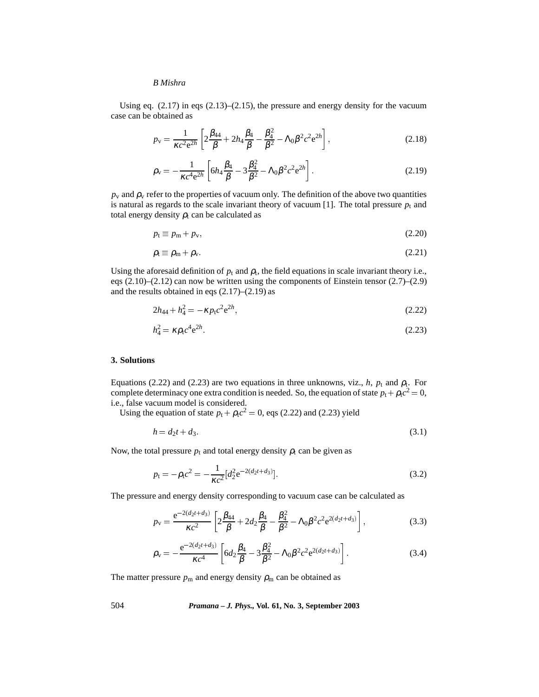### *B Mishra*

Using eq. (2.17) in eqs (2.13)–(2.15), the pressure and energy density for the vacuum case can be obtained as

$$
p_{\rm v} = \frac{1}{\kappa c^2 e^{2h}} \left[ 2\frac{\beta_{44}}{\beta} + 2h_4 \frac{\beta_4}{\beta} - \frac{\beta_4^2}{\beta^2} - \Lambda_0 \beta^2 c^2 e^{2h} \right],\tag{2.18}
$$

$$
\rho_{\rm v} = -\frac{1}{\kappa c^4 e^{2h}} \left[ 6h_4 \frac{\beta_4}{\beta} - 3 \frac{\beta_4^2}{\beta^2} - \Lambda_0 \beta^2 c^2 e^{2h} \right].
$$
\n(2.19)

 $p<sub>y</sub>$  and  $p<sub>y</sub>$  refer to the properties of vacuum only. The definition of the above two quantities is natural as regards to the scale invariant theory of vacuum [1]. The total pressure  $p_t$  and total energy density  $\rho_t$  can be calculated as

$$
p_t \equiv p_m + p_v,\tag{2.20}
$$

$$
\rho_{\rm t} \equiv \rho_{\rm m} + \rho_{\rm v} \tag{2.21}
$$

Using the aforesaid definition of  $p_t$  and  $p_t$ , the field equations in scale invariant theory i.e., eqs  $(2.10)$ – $(2.12)$  can now be written using the components of Einstein tensor  $(2.7)$ – $(2.9)$ and the results obtained in eqs  $(2.17)$ – $(2.19)$  as

$$
2h_{44} + h_4^2 = -\kappa p_1 c^2 e^{2h},\tag{2.22}
$$

$$
h_4^2 = \kappa \rho_1 c^4 e^{2h}.\tag{2.23}
$$

#### **3. Solutions**

Equations (2.22) and (2.23) are two equations in three unknowns, viz., *h*,  $p_t$  and  $\rho_t$ . For complete determinacy one extra condition is needed. So, the equation of state  $p_t + \rho_t c^2 = 0$ , i.e., false vacuum model is considered.

Using the equation of state  $p_t + \rho_t c^2 = 0$ , eqs (2.22) and (2.23) yield

$$
h = d_2 t + d_3 \tag{3.1}
$$

Now, the total pressure  $p_t$  and total energy density  $p_t$  can be given as

$$
p_{t} = -\rho_{t}c^{2} = -\frac{1}{\kappa c^{2}}[d_{2}^{2}e^{-2(d_{2}t + d_{3})}].
$$
\n(3.2)

The pressure and energy density corresponding to vacuum case can be calculated as

$$
p_{\rm v} = \frac{\mathrm{e}^{-2(d_2 t + d_3)}}{\kappa c^2} \left[ 2\frac{\beta_{44}}{\beta} + 2d_2\frac{\beta_4}{\beta} - \frac{\beta_4^2}{\beta^2} - \Lambda_0 \beta^2 c^2 \mathrm{e}^{2(d_2 t + d_3)} \right],\tag{3.3}
$$

$$
\rho_{\rm v} = -\frac{\mathrm{e}^{-2(d_2 t + d_3)}}{\kappa c^4} \left[ 6d_2 \frac{\beta_4}{\beta} - 3 \frac{\beta_4^2}{\beta^2} - \Lambda_0 \beta^2 c^2 \mathrm{e}^{2(d_2 t + d_3)} \right]. \tag{3.4}
$$

The matter pressure  $p_m$  and energy density  $p_m$  can be obtained as

504 *Pramana – J. Phys.,* **Vol. 61, No. 3, September 2003**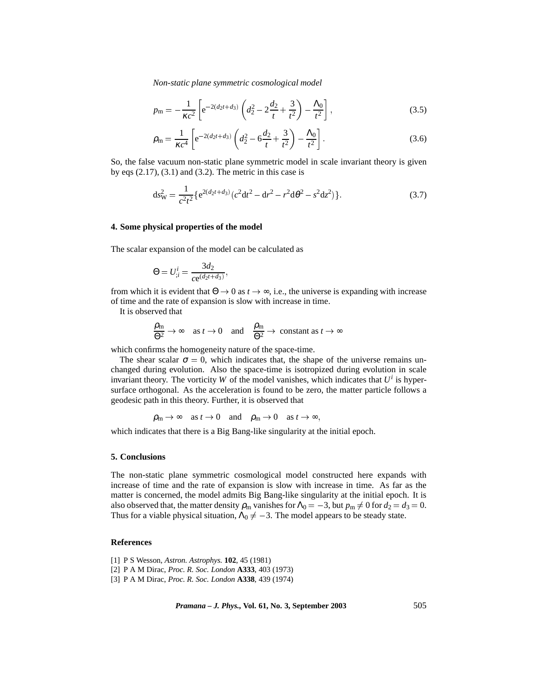*Non-static plane symmetric cosmological model*

$$
p_{\rm m} = -\frac{1}{\kappa c^2} \left[ e^{-2(d_2 t + d_3)} \left( d_2^2 - 2\frac{d_2}{t} + \frac{3}{t^2} \right) - \frac{\Lambda_0}{t^2} \right],\tag{3.5}
$$

$$
\rho_{\rm m} = \frac{1}{\kappa c^4} \left[ e^{-2(d_2 t + d_3)} \left( d_2^2 - 6 \frac{d_2}{t} + \frac{3}{t^2} \right) - \frac{\Lambda_0}{t^2} \right].
$$
\n(3.6)

So, the false vacuum non-static plane symmetric model in scale invariant theory is given by eqs  $(2.17)$ ,  $(3.1)$  and  $(3.2)$ . The metric in this case is

$$
ds_W^2 = \frac{1}{c^2 t^2} \{ e^{2(d_2 t + d_3)} (c^2 dt^2 - dr^2 - r^2 d\theta^2 - s^2 dz^2) \}.
$$
 (3.7)

#### **4. Some physical properties of the model**

The scalar expansion of the model can be calculated as

$$
\Theta = U_{;i}^{i} = \frac{3d_2}{c e^{(d_2 t + d_3)}},
$$

from which it is evident that  $\Theta \to 0$  as  $t \to \infty$ , i.e., the universe is expanding with increase of time and the rate of expansion is slow with increase in time.

It is observed that

$$
\frac{\rho_m}{\Theta^2} \to \infty
$$
 as  $t \to 0$  and  $\frac{\rho_m}{\Theta^2} \to$  constant as  $t \to \infty$ 

which confirms the homogeneity nature of the space-time.

The shear scalar  $\sigma = 0$ , which indicates that, the shape of the universe remains unchanged during evolution. Also the space-time is isotropized during evolution in scale invariant theory. The vorticity *W* of the model vanishes, which indicates that  $U^i$  is hypersurface orthogonal. As the acceleration is found to be zero, the matter particle follows a geodesic path in this theory. Further, it is observed that

 $\rho_m \to \infty$  as  $t \to 0$  and  $\rho_m \to 0$  as  $t \to \infty$ ,

which indicates that there is a Big Bang-like singularity at the initial epoch.

#### **5. Conclusions**

The non-static plane symmetric cosmological model constructed here expands with increase of time and the rate of expansion is slow with increase in time. As far as the matter is concerned, the model admits Big Bang-like singularity at the initial epoch. It is also observed that, the matter density  $\rho_m$  vanishes for  $\Lambda_0 = -3$ , but  $p_m \neq 0$  for  $d_2 = d_3 = 0$ . Thus for a viable physical situation,  $\Lambda_0 \neq -3$ . The model appears to be steady state.

## **References**

[1] P S Wesson, *Astron. Astrophys.* **102**, 45 (1981) [2] P A M Dirac, *Proc. R. Soc. London* **A333**, 403 (1973)

[3] P A M Dirac, *Proc. R. Soc. London* **A338**, 439 (1974)

*Pramana – J. Phys.,* **Vol. 61, No. 3, September 2003** 505